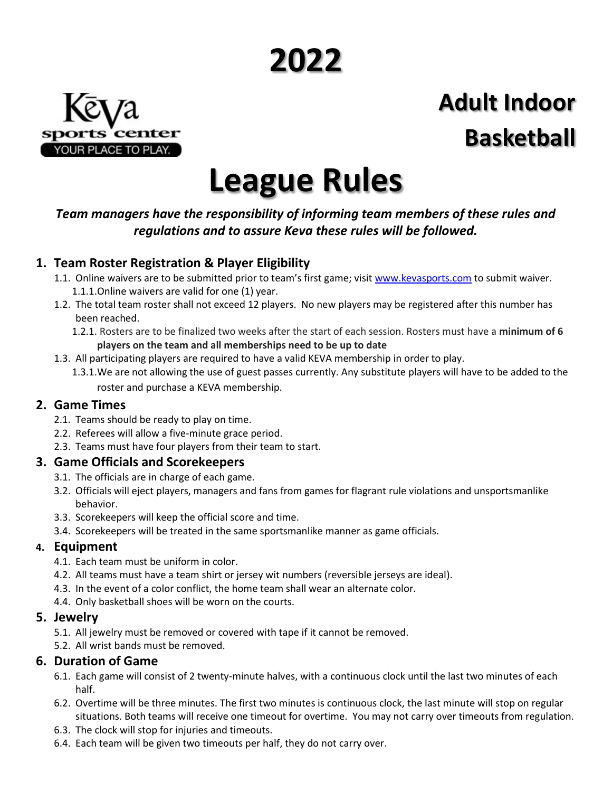# **2022**



## **Adult Indoor Basketball**

## **League Rules**

#### *Team managers have the responsibility of informing team members of these rules and regulations and to assure Keva these rules will be followed.*

#### **1. Team Roster Registration & Player Eligibility**

- 1.1. Online waivers are to be submitted prior to team's first game; visit [www.kevasports.com](http://www.kevasports.com/) to submit waiver. 1.1.1.Online waivers are valid for one (1) year.
- 1.2. The total team roster shall not exceed 12 players. No new players may be registered after this number has been reached.
	- 1.2.1. Rosters are to be finalized two weeks after the start of each session. Rosters must have a **minimum of 6 players on the team and all memberships need to be up to date**
- 1.3. All participating players are required to have a valid KEVA membership in order to play.
	- 1.3.1.We are not allowing the use of guest passes currently. Any substitute players will have to be added to the roster and purchase a KEVA membership.

#### **2. Game Times**

- 2.1. Teams should be ready to play on time.
- 2.2. Referees will allow a five-minute grace period.
- 2.3. Teams must have four players from their team to start.

#### **3. Game Officials and Scorekeepers**

- 3.1. The officials are in charge of each game.
- 3.2. Officials will eject players, managers and fans from games for flagrant rule violations and unsportsmanlike behavior.
- 3.3. Scorekeepers will keep the official score and time.
- 3.4. Scorekeepers will be treated in the same sportsmanlike manner as game officials.

#### **4. Equipment**

- 4.1. Each team must be uniform in color.
- 4.2. All teams must have a team shirt or jersey wit numbers (reversible jerseys are ideal).
- 4.3. In the event of a color conflict, the home team shall wear an alternate color.
- 4.4. Only basketball shoes will be worn on the courts.

#### **5. Jewelry**

- 5.1. All jewelry must be removed or covered with tape if it cannot be removed.
- 5.2. All wrist bands must be removed.

#### **6. Duration of Game**

- 6.1. Each game will consist of 2 twenty-minute halves, with a continuous clock until the last two minutes of each half.
- 6.2. Overtime will be three minutes. The first two minutes is continuous clock, the last minute will stop on regular situations. Both teams will receive one timeout for overtime. You may not carry over timeouts from regulation.
- 6.3. The clock will stop for injuries and timeouts.
- 6.4. Each team will be given two timeouts per half, they do not carry over.